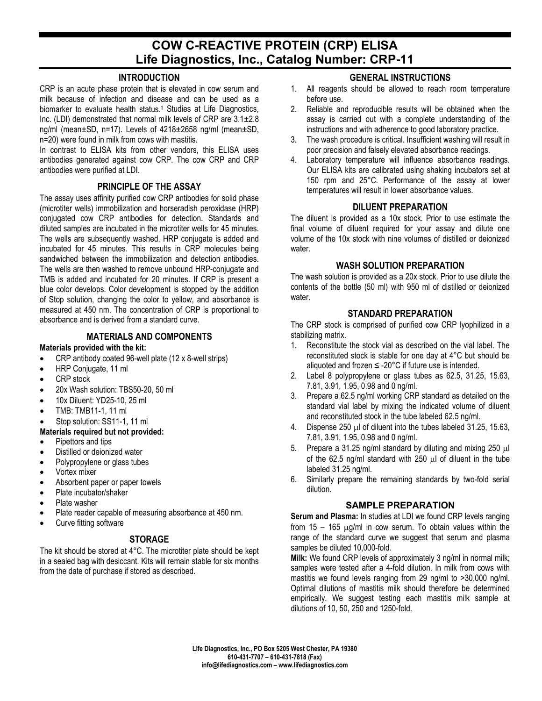# **COW C-REACTIVE PROTEIN (CRP) ELISA Life Diagnostics, Inc., Catalog Number: CRP-11**

## **INTRODUCTION**

CRP is an acute phase protein that is elevated in cow serum and milk because of infection and disease and can be used as a biomarker to evaluate health status.<sup>1</sup> Studies at Life Diagnostics, Inc. (LDI) demonstrated that normal milk levels of CRP are 3.1±2.8 ng/ml (mean±SD, n=17). Levels of 4218±2658 ng/ml (mean±SD, n=20) were found in milk from cows with mastitis.

In contrast to ELISA kits from other vendors, this ELISA uses antibodies generated against cow CRP. The cow CRP and CRP antibodies were purified at LDI.

## **PRINCIPLE OF THE ASSAY**

The assay uses affinity purified cow CRP antibodies for solid phase (microtiter wells) immobilization and horseradish peroxidase (HRP) conjugated cow CRP antibodies for detection. Standards and diluted samples are incubated in the microtiter wells for 45 minutes. The wells are subsequently washed. HRP conjugate is added and incubated for 45 minutes. This results in CRP molecules being sandwiched between the immobilization and detection antibodies. The wells are then washed to remove unbound HRP-conjugate and TMB is added and incubated for 20 minutes. If CRP is present a blue color develops. Color development is stopped by the addition of Stop solution, changing the color to yellow, and absorbance is measured at 450 nm. The concentration of CRP is proportional to absorbance and is derived from a standard curve.

## **MATERIALS AND COMPONENTS**

#### **Materials provided with the kit:**

- CRP antibody coated 96-well plate (12 x 8-well strips)
- HRP Conjugate, 11 ml
- CRP stock
- 20x Wash solution: TBS50-20, 50 ml
- 10x Diluent: YD25-10, 25 ml
- TMB: TMB11-1, 11 ml
- Stop solution: SS11-1, 11 ml

## **Materials required but not provided:**

- Pipettors and tips
- Distilled or deionized water
- Polypropylene or glass tubes
- Vortex mixer
- Absorbent paper or paper towels
- Plate incubator/shaker
- Plate washer
- Plate reader capable of measuring absorbance at 450 nm.
- Curve fitting software

# **STORAGE**

The kit should be stored at 4°C. The microtiter plate should be kept in a sealed bag with desiccant. Kits will remain stable for six months from the date of purchase if stored as described.

# **GENERAL INSTRUCTIONS**

- 1. All reagents should be allowed to reach room temperature before use.
- 2. Reliable and reproducible results will be obtained when the assay is carried out with a complete understanding of the instructions and with adherence to good laboratory practice.
- 3. The wash procedure is critical. Insufficient washing will result in poor precision and falsely elevated absorbance readings.
- 4. Laboratory temperature will influence absorbance readings. Our ELISA kits are calibrated using shaking incubators set at 150 rpm and 25°C. Performance of the assay at lower temperatures will result in lower absorbance values.

## **DILUENT PREPARATION**

The diluent is provided as a 10x stock. Prior to use estimate the final volume of diluent required for your assay and dilute one volume of the 10x stock with nine volumes of distilled or deionized water.

## **WASH SOLUTION PREPARATION**

The wash solution is provided as a 20x stock. Prior to use dilute the contents of the bottle (50 ml) with 950 ml of distilled or deionized water.

# **STANDARD PREPARATION**

The CRP stock is comprised of purified cow CRP lyophilized in a stabilizing matrix.

- 1. Reconstitute the stock vial as described on the vial label. The reconstituted stock is stable for one day at 4°C but should be aliquoted and frozen  $\leq$  -20°C if future use is intended.
- 2. Label 8 polypropylene or glass tubes as 62.5, 31.25, 15.63, 7.81, 3.91, 1.95, 0.98 and 0 ng/ml.
- 3. Prepare a 62.5 ng/ml working CRP standard as detailed on the standard vial label by mixing the indicated volume of diluent and reconstituted stock in the tube labeled 62.5 ng/ml.
- 4. Dispense 250 µl of diluent into the tubes labeled 31.25, 15.63, 7.81, 3.91, 1.95, 0.98 and 0 ng/ml.
- 5. Prepare a 31.25 ng/ml standard by diluting and mixing 250 µl of the 62.5 ng/ml standard with 250  $\mu$ l of diluent in the tube labeled 31.25 ng/ml.
- 6. Similarly prepare the remaining standards by two-fold serial dilution.

## **SAMPLE PREPARATION**

**Serum and Plasma:** In studies at LDI we found CRP levels ranging from  $15 - 165$   $\mu$ g/ml in cow serum. To obtain values within the range of the standard curve we suggest that serum and plasma samples be diluted 10,000-fold.

**Milk:** We found CRP levels of approximately 3 ng/ml in normal milk; samples were tested after a 4-fold dilution. In milk from cows with mastitis we found levels ranging from 29 ng/ml to >30,000 ng/ml. Optimal dilutions of mastitis milk should therefore be determined empirically. We suggest testing each mastitis milk sample at dilutions of 10, 50, 250 and 1250-fold.